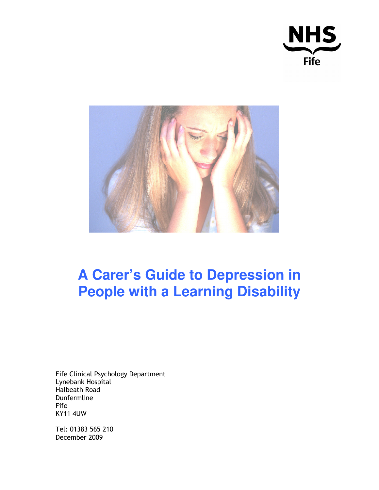



# **A Carer's Guide to Depression in People with a Learning Disability**

Fife Clinical Psychology Department Lynebank Hospital Halbeath Road Dunfermline Fife KY11 4UW

Tel: 01383 565 210 December 2009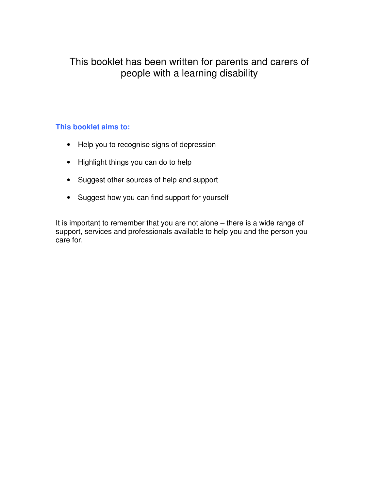### This booklet has been written for parents and carers of people with a learning disability

#### **This booklet aims to:**

- Help you to recognise signs of depression
- Highlight things you can do to help
- Suggest other sources of help and support
- Suggest how you can find support for yourself

It is important to remember that you are not alone – there is a wide range of support, services and professionals available to help you and the person you care for.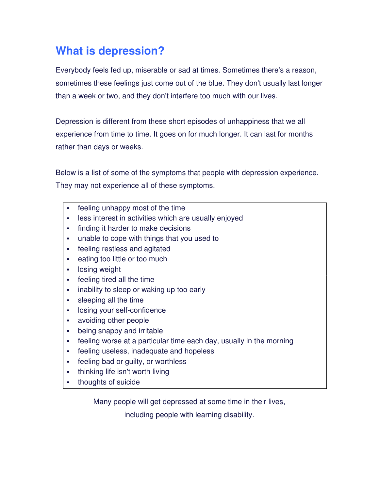### **What is depression?**

Everybody feels fed up, miserable or sad at times. Sometimes there's a reason, sometimes these feelings just come out of the blue. They don't usually last longer than a week or two, and they don't interfere too much with our lives.

Depression is different from these short episodes of unhappiness that we all experience from time to time. It goes on for much longer. It can last for months rather than days or weeks.

Below is a list of some of the symptoms that people with depression experience. They may not experience all of these symptoms.

- feeling unhappy most of the time
- **EXECT:** less interest in activities which are usually enjoyed
- **finding it harder to make decisions**
- unable to cope with things that you used to
- feeling restless and agitated
- **Example 1** eating too little or too much
- **-** losing weight
- feeling tired all the time
- **Example 1** inability to sleep or waking up too early
- sleeping all the time
- **-** losing your self-confidence
- avoiding other people
- being snappy and irritable
- feeling worse at a particular time each day, usually in the morning
- feeling useless, inadequate and hopeless
- **Figure 1** feeling bad or quilty, or worthless
- thinking life isn't worth living
- thoughts of suicide

Many people will get depressed at some time in their lives,

including people with learning disability.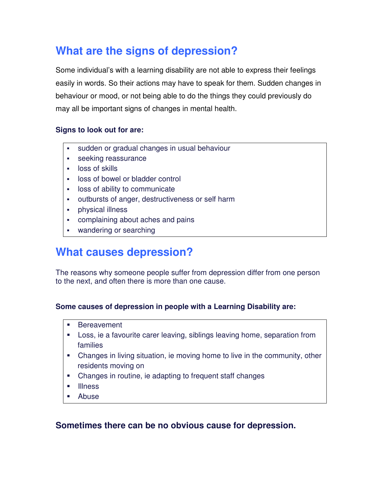## **What are the signs of depression?**

Some individual's with a learning disability are not able to express their feelings easily in words. So their actions may have to speak for them. Sudden changes in behaviour or mood, or not being able to do the things they could previously do may all be important signs of changes in mental health.

#### **Signs to look out for are:**

- sudden or gradual changes in usual behaviour
- **seeking reassurance**
- **-** loss of skills
- loss of bowel or bladder control
- **-** loss of ability to communicate
- outbursts of anger, destructiveness or self harm
- physical illness
- complaining about aches and pains
- **•** wandering or searching

### **What causes depression?**

The reasons why someone people suffer from depression differ from one person to the next, and often there is more than one cause.

#### **Some causes of depression in people with a Learning Disability are:**

- **Bereavement**
- Loss, ie a favourite carer leaving, siblings leaving home, separation from families
- Changes in living situation, ie moving home to live in the community, other residents moving on
- Changes in routine, ie adapting to frequent staff changes
- **Illness**
- Abuse

### **Sometimes there can be no obvious cause for depression.**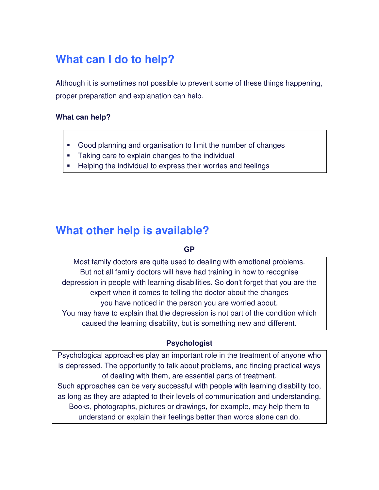## **What can I do to help?**

Although it is sometimes not possible to prevent some of these things happening, proper preparation and explanation can help.

#### **What can help?**

- Good planning and organisation to limit the number of changes
- Taking care to explain changes to the individual
- **Helping the individual to express their worries and feelings**

### **What other help is available?**

#### **GP**

Most family doctors are quite used to dealing with emotional problems. But not all family doctors will have had training in how to recognise depression in people with learning disabilities. So don't forget that you are the expert when it comes to telling the doctor about the changes you have noticed in the person you are worried about. You may have to explain that the depression is not part of the condition which caused the learning disability, but is something new and different.

#### **Psychologist**

Psychological approaches play an important role in the treatment of anyone who is depressed. The opportunity to talk about problems, and finding practical ways of dealing with them, are essential parts of treatment.

Such approaches can be very successful with people with learning disability too, as long as they are adapted to their levels of communication and understanding. Books, photographs, pictures or drawings, for example, may help them to understand or explain their feelings better than words alone can do.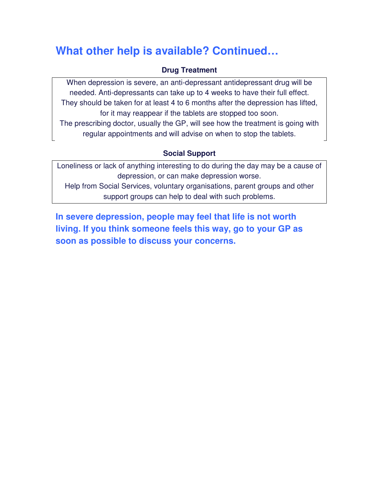## **What other help is available? Continued…**

#### **Drug Treatment**

When depression is severe, an anti-depressant antidepressant drug will be needed. Anti-depressants can take up to 4 weeks to have their full effect. They should be taken for at least 4 to 6 months after the depression has lifted, for it may reappear if the tablets are stopped too soon.

The prescribing doctor, usually the GP, will see how the treatment is going with regular appointments and will advise on when to stop the tablets.

#### **Social Support**

Loneliness or lack of anything interesting to do during the day may be a cause of depression, or can make depression worse.

Help from Social Services, voluntary organisations, parent groups and other support groups can help to deal with such problems.

**In severe depression, people may feel that life is not worth living. If you think someone feels this way, go to your GP as soon as possible to discuss your concerns.**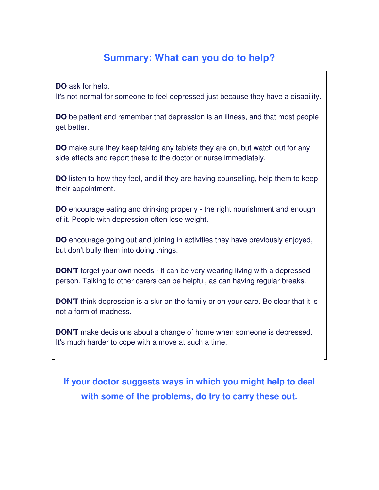### **Summary: What can you do to help?**

**DO** ask for help.

It's not normal for someone to feel depressed just because they have a disability.

**DO** be patient and remember that depression is an illness, and that most people get better.

**DO** make sure they keep taking any tablets they are on, but watch out for any side effects and report these to the doctor or nurse immediately.

**DO** listen to how they feel, and if they are having counselling, help them to keep their appointment.

**DO** encourage eating and drinking properly - the right nourishment and enough of it. People with depression often lose weight.

**DO** encourage going out and joining in activities they have previously enjoyed, but don't bully them into doing things.

**DON'T** forget your own needs - it can be very wearing living with a depressed person. Talking to other carers can be helpful, as can having regular breaks.

**DON'T** think depression is a slur on the family or on your care. Be clear that it is not a form of madness.

**DON'T** make decisions about a change of home when someone is depressed. It's much harder to cope with a move at such a time.

**If your doctor suggests ways in which you might help to deal with some of the problems, do try to carry these out.**